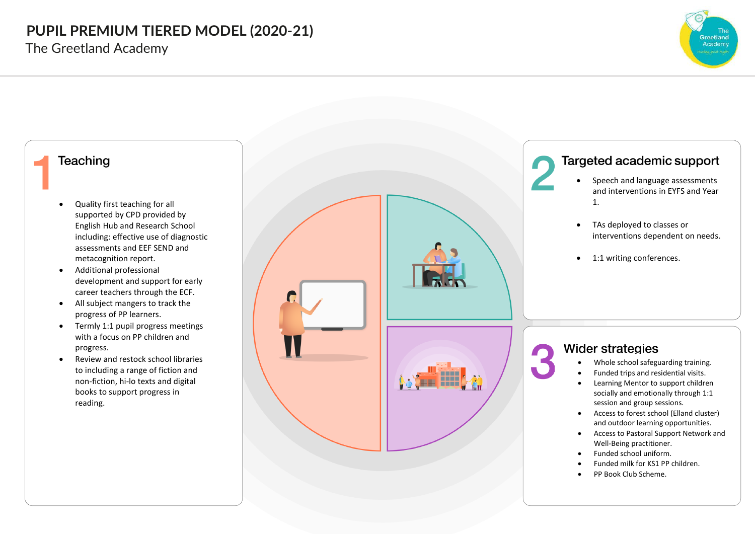The Greetland Academy



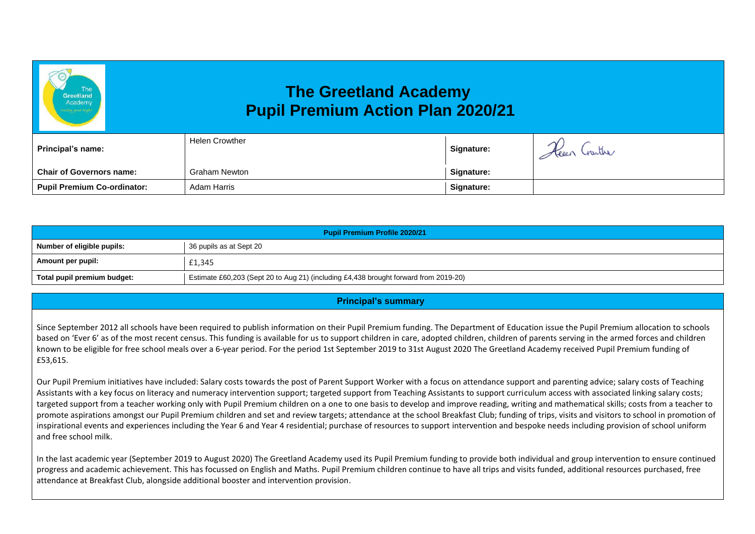# **The Greetland Academy Pupil Premium Action Plan 2020/21**

| Principal's name:                  | Helen Crowther | <b>Signature:</b> | Keen Crarther |
|------------------------------------|----------------|-------------------|---------------|
| <b>Chair of Governors name:</b>    | Graham Newton  | Signature:        |               |
| <b>Pupil Premium Co-ordinator:</b> | Adam Harris    | Signature:        |               |

| <b>Pupil Premium Profile 2020/21</b> |                                                                                      |  |
|--------------------------------------|--------------------------------------------------------------------------------------|--|
| Number of eligible pupils:           | 36 pupils as at Sept 20                                                              |  |
| Amount per pupil:                    | £1,345                                                                               |  |
| Total pupil premium budget:          | Estimate £60,203 (Sept 20 to Aug 21) (including £4,438 brought forward from 2019-20) |  |

### **Principal's summary**

Since September 2012 all schools have been required to publish information on their Pupil Premium funding. The Department of Education issue the Pupil Premium allocation to schools based on 'Ever 6' as of the most recent census. This funding is available for us to support children in care, adopted children, children of parents serving in the armed forces and children known to be eligible for free school meals over a 6-year period. For the period 1st September 2019 to 31st August 2020 The Greetland Academy received Pupil Premium funding of £53,615.

Our Pupil Premium initiatives have included: Salary costs towards the post of Parent Support Worker with a focus on attendance support and parenting advice; salary costs of Teaching Assistants with a key focus on literacy and numeracy intervention support; targeted support from Teaching Assistants to support curriculum access with associated linking salary costs; targeted support from a teacher working only with Pupil Premium children on a one to one basis to develop and improve reading, writing and mathematical skills; costs from a teacher to promote aspirations amongst our Pupil Premium children and set and review targets; attendance at the school Breakfast Club; funding of trips, visits and visitors to school in promotion of inspirational events and experiences including the Year 6 and Year 4 residential; purchase of resources to support intervention and bespoke needs including provision of school uniform and free school milk.

In the last academic year (September 2019 to August 2020) The Greetland Academy used its Pupil Premium funding to provide both individual and group intervention to ensure continued progress and academic achievement. This has focussed on English and Maths. Pupil Premium children continue to have all trips and visits funded, additional resources purchased, free attendance at Breakfast Club, alongside additional booster and intervention provision.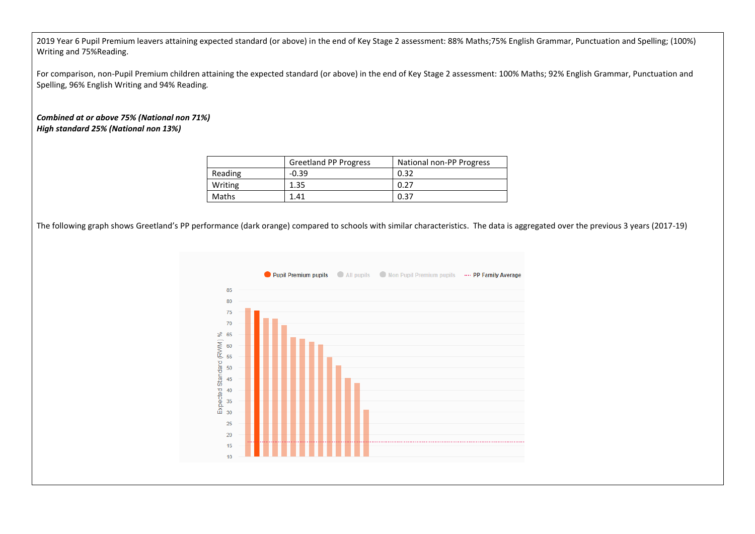2019 Year 6 Pupil Premium leavers attaining expected standard (or above) in the end of Key Stage 2 assessment: 88% Maths;75% English Grammar, Punctuation and Spelling; (100%) Writing and 75%Reading.

For comparison, non-Pupil Premium children attaining the expected standard (or above) in the end of Key Stage 2 assessment: 100% Maths; 92% English Grammar, Punctuation and Spelling, 96% English Writing and 94% Reading*.*

*Combined at or above 75% (National non 71%) High standard 25% (National non 13%)*

|         | <b>Greetland PP Progress</b> | National non-PP Progress |
|---------|------------------------------|--------------------------|
| Reading | $-0.39$                      | 0.32                     |
| Writing | 1.35                         | 0.27                     |
| Maths   | 1.41                         | 0.37                     |

The following graph shows Greetland's PP performance (dark orange) compared to schools with similar characteristics. The data is aggregated over the previous 3 years (2017-19)

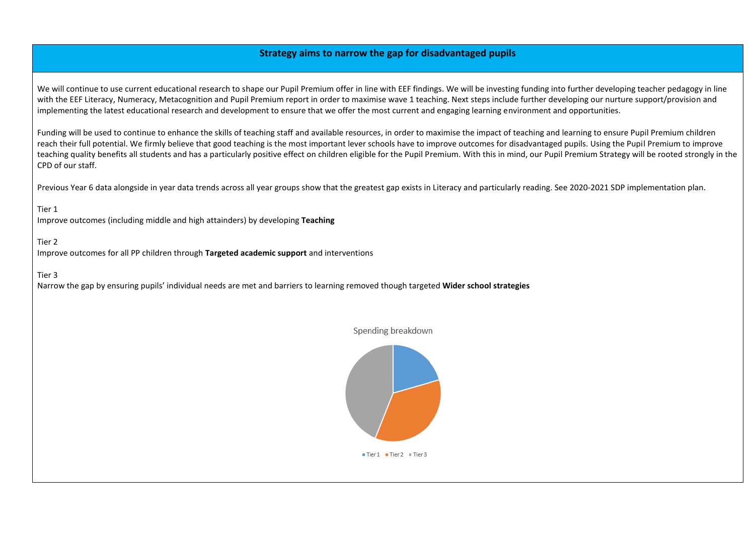## **Strategy aims to narrow the gap for disadvantaged pupils**

We will continue to use current educational research to shape our Pupil Premium offer in line with EEF findings. We will be investing funding into further developing teacher pedagogy in line with the EEF Literacy, Numeracy, Metacognition and Pupil Premium report in order to maximise wave 1 teaching. Next steps include further developing our nurture support/provision and implementing the latest educational research and development to ensure that we offer the most current and engaging learning environment and opportunities.

Funding will be used to continue to enhance the skills of teaching staff and available resources, in order to maximise the impact of teaching and learning to ensure Pupil Premium children reach their full potential. We firmly believe that good teaching is the most important lever schools have to improve outcomes for disadvantaged pupils. Using the Pupil Premium to improve teaching quality benefits all students and has a particularly positive effect on children eligible for the Pupil Premium. With this in mind, our Pupil Premium Strategy will be rooted strongly in the CPD of our staff.

Previous Year 6 data alongside in year data trends across all year groups show that the greatest gap exists in Literacy and particularly reading. See 2020-2021 SDP implementation plan.

#### Tier 1

Improve outcomes (including middle and high attainders) by developing **Teaching** 

#### Tier 2

Improve outcomes for all PP children through **Targeted academic support** and interventions

#### Tier 3

Narrow the gap by ensuring pupils' individual needs are met and barriers to learning removed though targeted **Wider school strategies**

Spending breakdown



 $\blacksquare$  Tier 1  $\blacksquare$  Tier 2  $\blacksquare$  Tier 3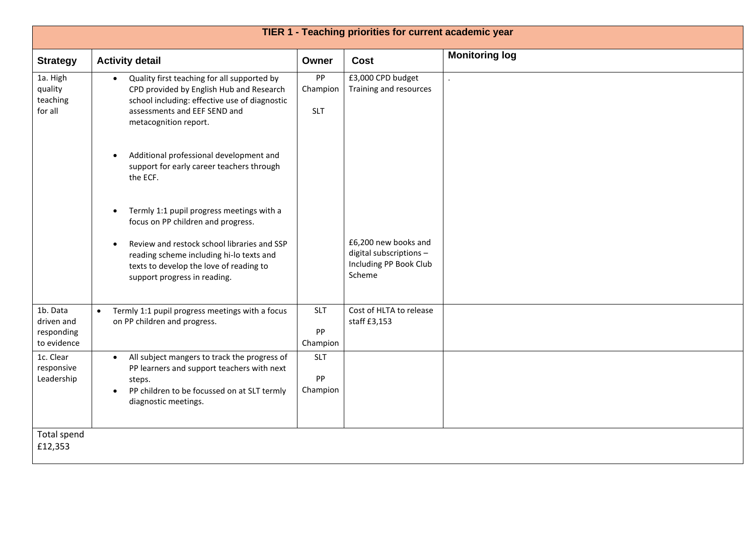| TIER 1 - Teaching priorities for current academic year |                                                                                                                                                                                                       |                              |                                                                                     |                       |
|--------------------------------------------------------|-------------------------------------------------------------------------------------------------------------------------------------------------------------------------------------------------------|------------------------------|-------------------------------------------------------------------------------------|-----------------------|
| <b>Strategy</b>                                        | <b>Activity detail</b>                                                                                                                                                                                | Owner                        | Cost                                                                                | <b>Monitoring log</b> |
| 1a. High<br>quality<br>teaching<br>for all             | Quality first teaching for all supported by<br>CPD provided by English Hub and Research<br>school including: effective use of diagnostic<br>assessments and EEF SEND and<br>metacognition report.     | PP<br>Champion<br><b>SLT</b> | £3,000 CPD budget<br>Training and resources                                         |                       |
|                                                        | Additional professional development and<br>$\bullet$<br>support for early career teachers through<br>the ECF.                                                                                         |                              |                                                                                     |                       |
|                                                        | Termly 1:1 pupil progress meetings with a<br>$\bullet$<br>focus on PP children and progress.                                                                                                          |                              |                                                                                     |                       |
|                                                        | Review and restock school libraries and SSP<br>$\bullet$<br>reading scheme including hi-lo texts and<br>texts to develop the love of reading to<br>support progress in reading.                       |                              | £6,200 new books and<br>digital subscriptions -<br>Including PP Book Club<br>Scheme |                       |
| 1b. Data<br>driven and<br>responding<br>to evidence    | Termly 1:1 pupil progress meetings with a focus<br>$\bullet$<br>on PP children and progress.                                                                                                          | <b>SLT</b><br>PP<br>Champion | Cost of HLTA to release<br>staff £3,153                                             |                       |
| 1c. Clear<br>responsive<br>Leadership                  | All subject mangers to track the progress of<br>$\bullet$<br>PP learners and support teachers with next<br>steps.<br>PP children to be focussed on at SLT termly<br>$\bullet$<br>diagnostic meetings. | <b>SLT</b><br>PP<br>Champion |                                                                                     |                       |
| Total spend<br>£12,353                                 |                                                                                                                                                                                                       |                              |                                                                                     |                       |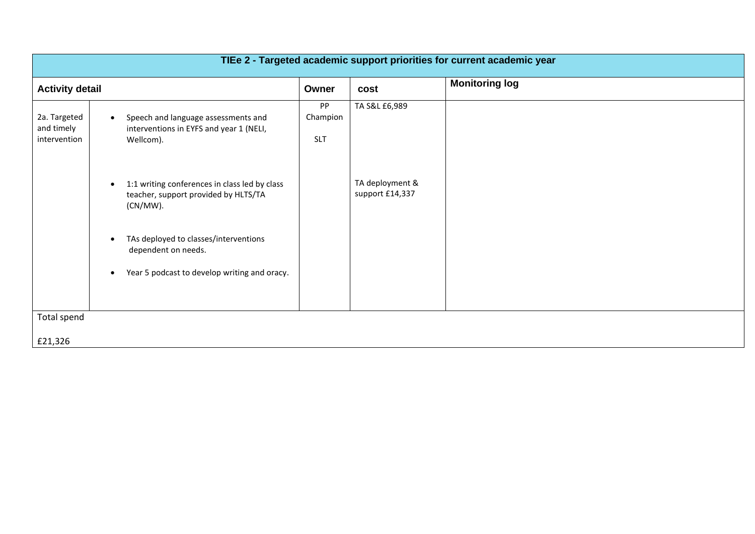| TIEe 2 - Targeted academic support priorities for current academic year |                                                                                                                                        |                              |                                    |                       |
|-------------------------------------------------------------------------|----------------------------------------------------------------------------------------------------------------------------------------|------------------------------|------------------------------------|-----------------------|
| <b>Activity detail</b>                                                  |                                                                                                                                        | Owner                        | cost                               | <b>Monitoring log</b> |
| 2a. Targeted<br>and timely<br>intervention                              | Speech and language assessments and<br>$\bullet$<br>interventions in EYFS and year 1 (NELI,<br>Wellcom).                               | PP<br>Champion<br><b>SLT</b> | TA S&L £6,989                      |                       |
|                                                                         | 1:1 writing conferences in class led by class<br>$\bullet$<br>teacher, support provided by HLTS/TA<br>(CN/MW).                         |                              | TA deployment &<br>support £14,337 |                       |
|                                                                         | TAs deployed to classes/interventions<br>$\bullet$<br>dependent on needs.<br>Year 5 podcast to develop writing and oracy.<br>$\bullet$ |                              |                                    |                       |
|                                                                         |                                                                                                                                        |                              |                                    |                       |
| Total spend                                                             |                                                                                                                                        |                              |                                    |                       |
| £21,326                                                                 |                                                                                                                                        |                              |                                    |                       |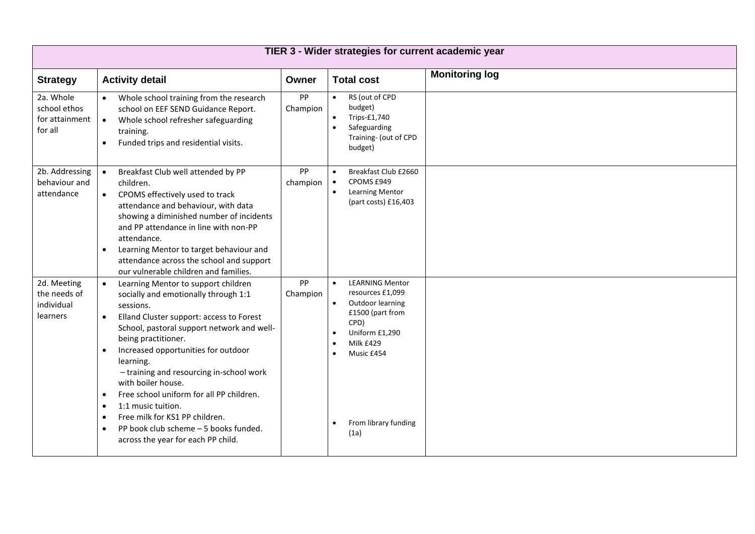| TIER 3 - Wider strategies for current academic year    |                                                                                                                                                                                                                                                                                                                                                                                                                                                                                                                                                                                                               |                |                                                                                                                                                                                                   |                       |  |
|--------------------------------------------------------|---------------------------------------------------------------------------------------------------------------------------------------------------------------------------------------------------------------------------------------------------------------------------------------------------------------------------------------------------------------------------------------------------------------------------------------------------------------------------------------------------------------------------------------------------------------------------------------------------------------|----------------|---------------------------------------------------------------------------------------------------------------------------------------------------------------------------------------------------|-----------------------|--|
| <b>Strategy</b>                                        | <b>Activity detail</b>                                                                                                                                                                                                                                                                                                                                                                                                                                                                                                                                                                                        | Owner          | <b>Total cost</b>                                                                                                                                                                                 | <b>Monitoring log</b> |  |
| 2a. Whole<br>school ethos<br>for attainment<br>for all | Whole school training from the research<br>school on EEF SEND Guidance Report.<br>Whole school refresher safeguarding<br>$\bullet$<br>training.<br>Funded trips and residential visits.<br>$\bullet$                                                                                                                                                                                                                                                                                                                                                                                                          | PP<br>Champion | RS (out of CPD<br>$\bullet$<br>budget)<br>Trips-£1,740<br>$\bullet$<br>Safeguarding<br>$\bullet$<br>Training- (out of CPD<br>budget)                                                              |                       |  |
| 2b. Addressing<br>behaviour and<br>attendance          | Breakfast Club well attended by PP<br>children.<br>CPOMS effectively used to track<br>$\bullet$<br>attendance and behaviour, with data<br>showing a diminished number of incidents<br>and PP attendance in line with non-PP<br>attendance.<br>Learning Mentor to target behaviour and<br>$\bullet$<br>attendance across the school and support<br>our vulnerable children and families.                                                                                                                                                                                                                       | PP<br>champion | Breakfast Club £2660<br>$\bullet$<br>CPOMS £949<br>$\bullet$<br><b>Learning Mentor</b><br>$\bullet$<br>(part costs) £16,403                                                                       |                       |  |
| 2d. Meeting<br>the needs of<br>individual<br>learners  | Learning Mentor to support children<br>$\bullet$<br>socially and emotionally through 1:1<br>sessions.<br>Elland Cluster support: access to Forest<br>$\bullet$<br>School, pastoral support network and well-<br>being practitioner.<br>Increased opportunities for outdoor<br>$\bullet$<br>learning.<br>- training and resourcing in-school work<br>with boiler house.<br>Free school uniform for all PP children.<br>$\bullet$<br>1:1 music tuition.<br>$\bullet$<br>Free milk for KS1 PP children.<br>$\bullet$<br>PP book club scheme - 5 books funded.<br>$\bullet$<br>across the year for each PP child. | PP<br>Champion | <b>LEARNING Mentor</b><br>$\bullet$<br>resources £1,099<br>Outdoor learning<br>$\bullet$<br>£1500 (part from<br>CPD)<br>Uniform £1,290<br>Milk £429<br>Music £454<br>From library funding<br>(1a) |                       |  |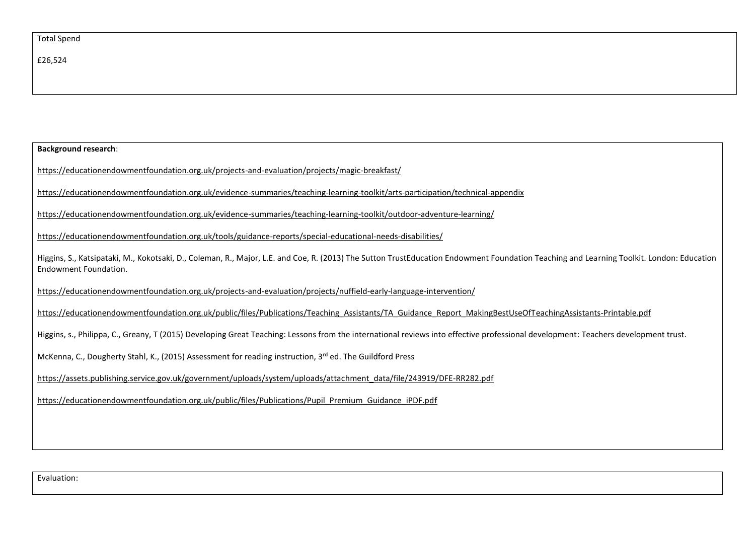| <b>Background research:</b>                                                                                                                                                                                       |  |  |  |
|-------------------------------------------------------------------------------------------------------------------------------------------------------------------------------------------------------------------|--|--|--|
| https://educationendowmentfoundation.org.uk/projects-and-evaluation/projects/magic-breakfast/                                                                                                                     |  |  |  |
| https://educationendowmentfoundation.org.uk/evidence-summaries/teaching-learning-toolkit/arts-participation/technical-appendix                                                                                    |  |  |  |
| https://educationendowmentfoundation.org.uk/evidence-summaries/teaching-learning-toolkit/outdoor-adventure-learning/                                                                                              |  |  |  |
| https://educationendowmentfoundation.org.uk/tools/guidance-reports/special-educational-needs-disabilities/                                                                                                        |  |  |  |
| Higgins, S., Katsipataki, M., Kokotsaki, D., Coleman, R., Major, L.E. and Coe, R. (2013) The Sutton TrustEducation Endowment Foundation Teaching and Learning Toolkit. London: Education<br>Endowment Foundation. |  |  |  |
| https://educationendowmentfoundation.org.uk/projects-and-evaluation/projects/nuffield-early-language-intervention/                                                                                                |  |  |  |
| https://educationendowmentfoundation.org.uk/public/files/Publications/Teaching Assistants/TA Guidance Report MakingBestUseOfTeachingAssistants-Printable.pdf                                                      |  |  |  |
| Higgins, s., Philippa, C., Greany, T (2015) Developing Great Teaching: Lessons from the international reviews into effective professional development: Teachers development trust.                                |  |  |  |
| McKenna, C., Dougherty Stahl, K., (2015) Assessment for reading instruction, 3 <sup>rd</sup> ed. The Guildford Press                                                                                              |  |  |  |
| https://assets.publishing.service.gov.uk/government/uploads/system/uploads/attachment_data/file/243919/DFE-RR282.pdf                                                                                              |  |  |  |
| https://educationendowmentfoundation.org.uk/public/files/Publications/Pupil Premium Guidance iPDF.pdf                                                                                                             |  |  |  |
|                                                                                                                                                                                                                   |  |  |  |
|                                                                                                                                                                                                                   |  |  |  |

Evaluation: